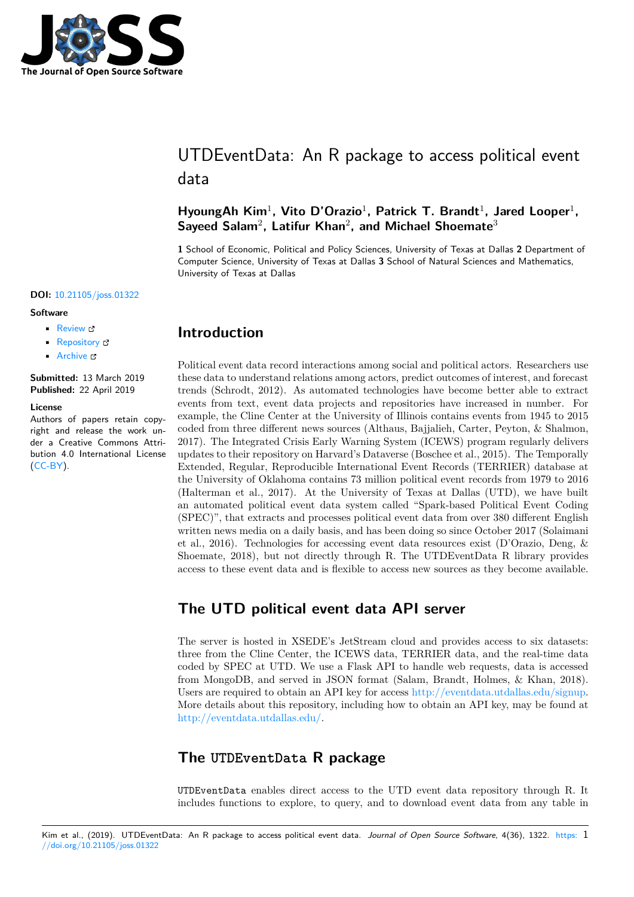

# UTDEventData: An R package to access political event data

### HyoungAh Kim<sup>1</sup>, Vito D'Orazio<sup>1</sup>, Patrick T. Brandt<sup>1</sup>, Jared Looper<sup>1</sup>, Sayeed Salam<sup>2</sup>, Latifur Khan<sup>2</sup>, and Michael Shoemate<sup>3</sup>

**1** School of Economic, Political and Policy Sciences, University of Texas at Dallas **2** Department of Computer Science, University of Texas at Dallas **3** School of Natural Sciences and Mathematics, University of Texas at Dallas

### **DOI:** 10.21105/joss.01322

#### **Software**

- Review &
- [Repository](https://doi.org/10.21105/joss.01322) &
- Archive

**Subm[itted:](https://github.com/openjournals/joss-reviews/issues/1322)** 13 March 2019 **Published:** [22 Ap](https://github.com/KateHyoung/UTDEventData)ril 2019

#### **Licen[se](https://doi.org/10.5281/zenodo.2648643)**

Authors of papers retain copyright and release the work under a Creative Commons Attribution 4.0 International License  $(CC-BY)$ .

### **Introduction**

Political event data record interactions among social and political actors. Researchers use these data to understand relations among actors, predict outcomes of interest, and forecast trends (Schrodt, 2012). As automated technologies have become better able to extract events from text, event data projects and repositories have increased in number. For example, the Cline Center at the University of Illinois contains events from 1945 to 2015 coded from three different news sources (Althaus, Bajjalieh, Carter, Peyton, & Shalmon, 2017). The Integrated Crisis Early Warning System (ICEWS) program regularly delivers updates to their repository on Harvard's Dataverse (Boschee et al., 2015). The Temporally Extended, Regular, Reproducible International Event Records (TERRIER) database at the University of Oklahoma contains 73 million political event records from 1979 to 2016 (Halterman et al., 2017). At the University of Texas at Dallas (UTD), we have built an automated political event data system called "Spark-based Political Event Coding (SPEC)", that extracts and processes political event data from over 380 different English written news media on a daily basis, and has been doing so since October 2017 (Solaimani et al., 2016). Technologies for accessing event data resources exist (D'Orazio, Deng, & Shoemate, 2018), but not directly through R. The UTDEventData R library provides access to these event data and is flexible to access new sources as they become available.

## **The UTD political event data API server**

The server is hosted in XSEDE's JetStream cloud and provides access to six datasets: three from the Cline Center, the ICEWS data, TERRIER data, and the real-time data coded by SPEC at UTD. We use a Flask API to handle web requests, data is accessed from MongoDB, and served in JSON format (Salam, Brandt, Holmes, & Khan, 2018). Users are required to obtain an API key for access http://eventdata.utdallas.edu/signup. More details about this repository, including how to obtain an API key, may be found at http://eventdata.utdallas.edu/.

## **The [UTDEventData](http://eventdata.utdallas.edu/) R package**

UTDEventData enables direct access to the UTD event data repository through R. It includes functions to explore, to query, and to download event data from any table in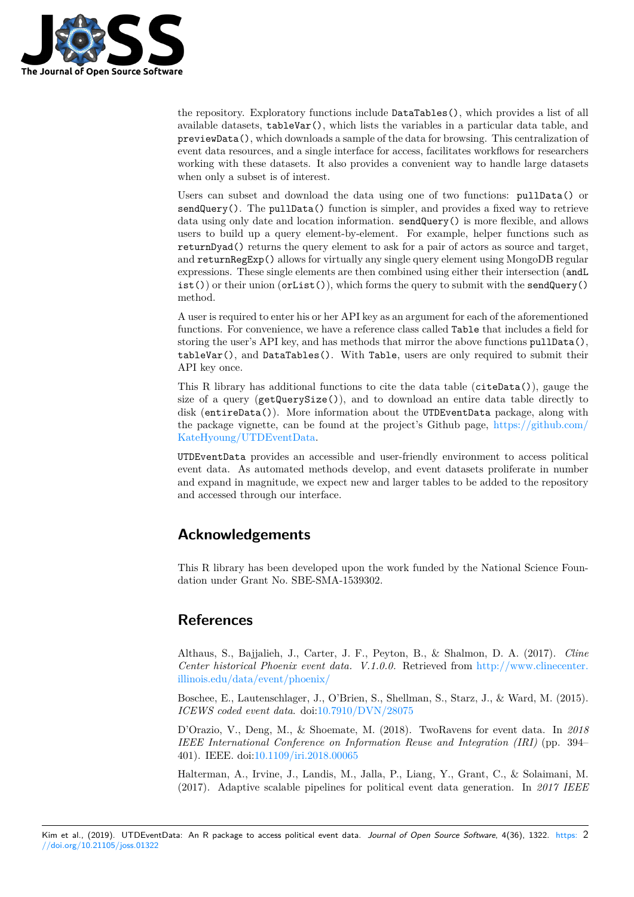

the repository. Exploratory functions include DataTables(), which provides a list of all available datasets, tableVar(), which lists the variables in a particular data table, and previewData(), which downloads a sample of the data for browsing. This centralization of event data resources, and a single interface for access, facilitates workflows for researchers working with these datasets. It also provides a convenient way to handle large datasets when only a subset is of interest.

Users can subset and download the data using one of two functions: pullData() or sendQuery(). The pullData() function is simpler, and provides a fixed way to retrieve data using only date and location information. sendQuery() is more flexible, and allows users to build up a query element-by-element. For example, helper functions such as returnDyad() returns the query element to ask for a pair of actors as source and target, and returnRegExp() allows for virtually any single query element using MongoDB regular expressions. These single elements are then combined using either their intersection (andL  $\text{dist}(\cdot)$  or their union (orList()), which forms the query to submit with the sendQuery() method.

A user is required to enter his or her API key as an argument for each of the aforementioned functions. For convenience, we have a reference class called Table that includes a field for storing the user's API key, and has methods that mirror the above functions  $pullData(),$ tableVar(), and DataTables(). With Table, users are only required to submit their API key once.

This R library has additional functions to cite the data table (citeData()), gauge the size of a query (getQuerySize()), and to download an entire data table directly to disk (entireData()). More information about the UTDEventData package, along with the package vignette, can be found at the project's Github page, https://github.com/ KateHyoung/UTDEventData.

UTDEventData provides an accessible and user-friendly environment to access political event data. As automated methods develop, and event datasets proliferate in number and expand in magnitude, we expect new and larger tables to be ad[ded to the repository](https://github.com/KateHyoung/UTDEventData) [and accessed through our inte](https://github.com/KateHyoung/UTDEventData)rface.

## **Acknowledgements**

This R library has been developed upon the work funded by the National Science Foundation under Grant No. SBE-SMA-1539302.

## **References**

Althaus, S., Bajjalieh, J., Carter, J. F., Peyton, B., & Shalmon, D. A. (2017). *Cline Center historical Phoenix event data. V.1.0.0.* Retrieved from http://www.clinecenter. illinois.edu/data/event/phoenix/

Boschee, E., Lautenschlager, J., O'Brien, S., Shellman, S., Starz, J., & Ward, M. (2015). *ICEWS coded event data*. doi:10.7910/DVN/28075

[D'Orazio, V., Deng, M., & Shoe](http://www.clinecenter.illinois.edu/data/event/phoenix/)mate, M. (2018). TwoRavens [for event data. In](http://www.clinecenter.illinois.edu/data/event/phoenix/) *2018 IEEE International Conference on Information Reuse and Integration (IRI)* (pp. 394– 401). IEEE. doi:10.1109/iri.2[018.00065](https://doi.org/10.7910/DVN/28075)

Halterman, A., Irvine, J., Landis, M., Jalla, P., Liang, Y., Grant, C., & Solaimani, M. (2017). Adaptive scalable pipelines for political event data generation. In *2017 IEEE*